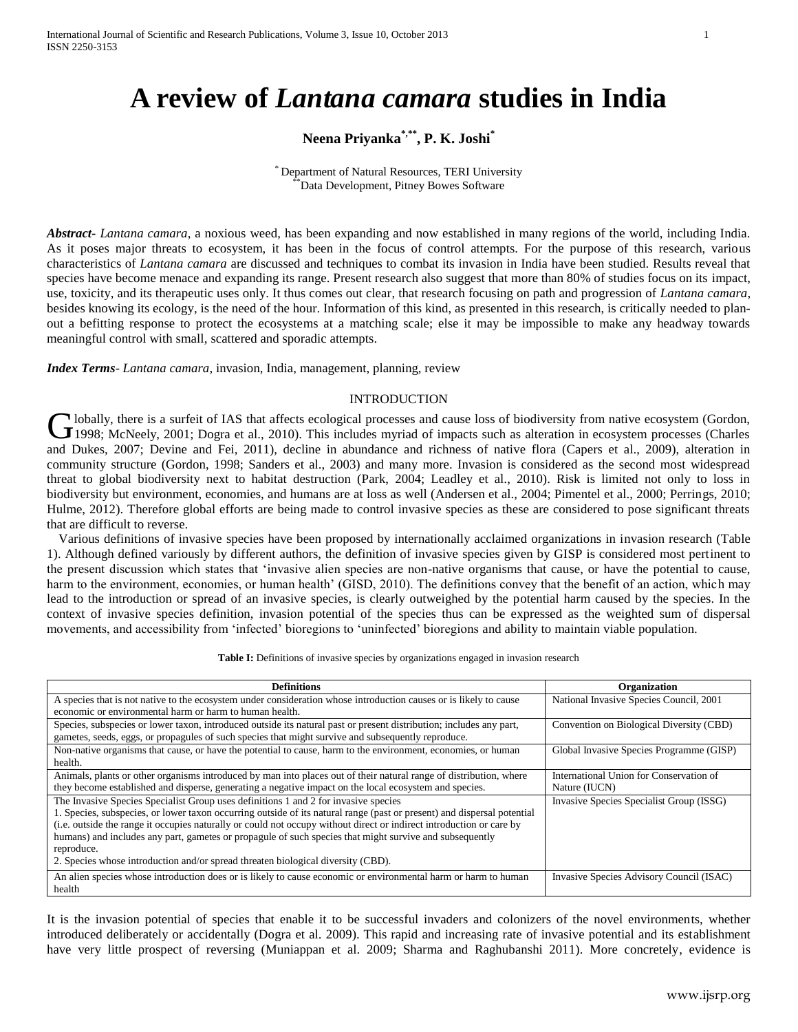# **A review of** *Lantana camara* **studies in India**

## **Neena Priyanka\*,\*\* , P. K. Joshi\***

\* Department of Natural Resources, TERI University Data Development, Pitney Bowes Software

*Abstract***-** *Lantana camara*, a noxious weed, has been expanding and now established in many regions of the world, including India. As it poses major threats to ecosystem, it has been in the focus of control attempts. For the purpose of this research, various characteristics of *Lantana camara* are discussed and techniques to combat its invasion in India have been studied. Results reveal that species have become menace and expanding its range. Present research also suggest that more than 80% of studies focus on its impact, use, toxicity, and its therapeutic uses only. It thus comes out clear, that research focusing on path and progression of *Lantana camara*, besides knowing its ecology, is the need of the hour. Information of this kind, as presented in this research, is critically needed to planout a befitting response to protect the ecosystems at a matching scale; else it may be impossible to make any headway towards meaningful control with small, scattered and sporadic attempts.

*Index Terms*- *Lantana camara*, invasion, India, management, planning, review

#### INTRODUCTION

I lobally, there is a surfeit of IAS that affects ecological processes and cause loss of biodiversity from native ecosystem (Gordon, Globally, there is a surfeit of IAS that affects ecological processes and cause loss of biodiversity from native ecosystem (Gordon, 1998; McNeely, 2001; Dogra et al., 2010). This includes myriad of impacts such as alterati and Dukes, 2007; Devine and Fei, 2011), decline in abundance and richness of native flora (Capers et al., 2009), alteration in community structure (Gordon, 1998; Sanders et al., 2003) and many more. Invasion is considered as the second most widespread threat to global biodiversity next to habitat destruction (Park, 2004; Leadley et al., 2010). Risk is limited not only to loss in biodiversity but environment, economies, and humans are at loss as well (Andersen et al., 2004; Pimentel et al., 2000; Perrings, 2010; Hulme, 2012). Therefore global efforts are being made to control invasive species as these are considered to pose significant threats that are difficult to reverse.

Various definitions of invasive species have been proposed by internationally acclaimed organizations in invasion research (Table 1). Although defined variously by different authors, the definition of invasive species given by GISP is considered most pertinent to the present discussion which states that 'invasive alien species are non-native organisms that cause, or have the potential to cause, harm to the environment, economies, or human health' (GISD, 2010). The definitions convey that the benefit of an action, which may lead to the introduction or spread of an invasive species, is clearly outweighed by the potential harm caused by the species. In the context of invasive species definition, invasion potential of the species thus can be expressed as the weighted sum of dispersal movements, and accessibility from 'infected' bioregions to 'uninfected' bioregions and ability to maintain viable population.

Table I: Definitions of invasive species by organizations engaged in invasion research

| <b>Definitions</b>                                                                                                                                                                                                                                                                                                                                                                                                                                                                                                                                  | Organization                                             |
|-----------------------------------------------------------------------------------------------------------------------------------------------------------------------------------------------------------------------------------------------------------------------------------------------------------------------------------------------------------------------------------------------------------------------------------------------------------------------------------------------------------------------------------------------------|----------------------------------------------------------|
| A species that is not native to the ecosystem under consideration whose introduction causes or is likely to cause<br>economic or environmental harm or harm to human health.                                                                                                                                                                                                                                                                                                                                                                        | National Invasive Species Council, 2001                  |
| Species, subspecies or lower taxon, introduced outside its natural past or present distribution; includes any part,<br>gametes, seeds, eggs, or propagules of such species that might survive and subsequently reproduce.                                                                                                                                                                                                                                                                                                                           | Convention on Biological Diversity (CBD)                 |
| Non-native organisms that cause, or have the potential to cause, harm to the environment, economies, or human<br>health.                                                                                                                                                                                                                                                                                                                                                                                                                            | Global Invasive Species Programme (GISP)                 |
| Animals, plants or other organisms introduced by man into places out of their natural range of distribution, where<br>they become established and disperse, generating a negative impact on the local ecosystem and species.                                                                                                                                                                                                                                                                                                                        | International Union for Conservation of<br>Nature (IUCN) |
| The Invasive Species Specialist Group uses definitions 1 and 2 for invasive species<br>1. Species, subspecies, or lower taxon occurring outside of its natural range (past or present) and dispersal potential<br>(i.e. outside the range it occupies naturally or could not occupy without direct or indirect introduction or care by<br>humans) and includes any part, gametes or propagule of such species that might survive and subsequently<br>reproduce.<br>2. Species whose introduction and/or spread threaten biological diversity (CBD). | Invasive Species Specialist Group (ISSG)                 |
| An alien species whose introduction does or is likely to cause economic or environmental harm or harm to human<br>health                                                                                                                                                                                                                                                                                                                                                                                                                            | Invasive Species Advisory Council (ISAC)                 |

It is the invasion potential of species that enable it to be successful invaders and colonizers of the novel environments, whether introduced deliberately or accidentally (Dogra et al. 2009). This rapid and increasing rate of invasive potential and its establishment have very little prospect of reversing (Muniappan et al. 2009; Sharma and Raghubanshi 2011). More concretely, evidence is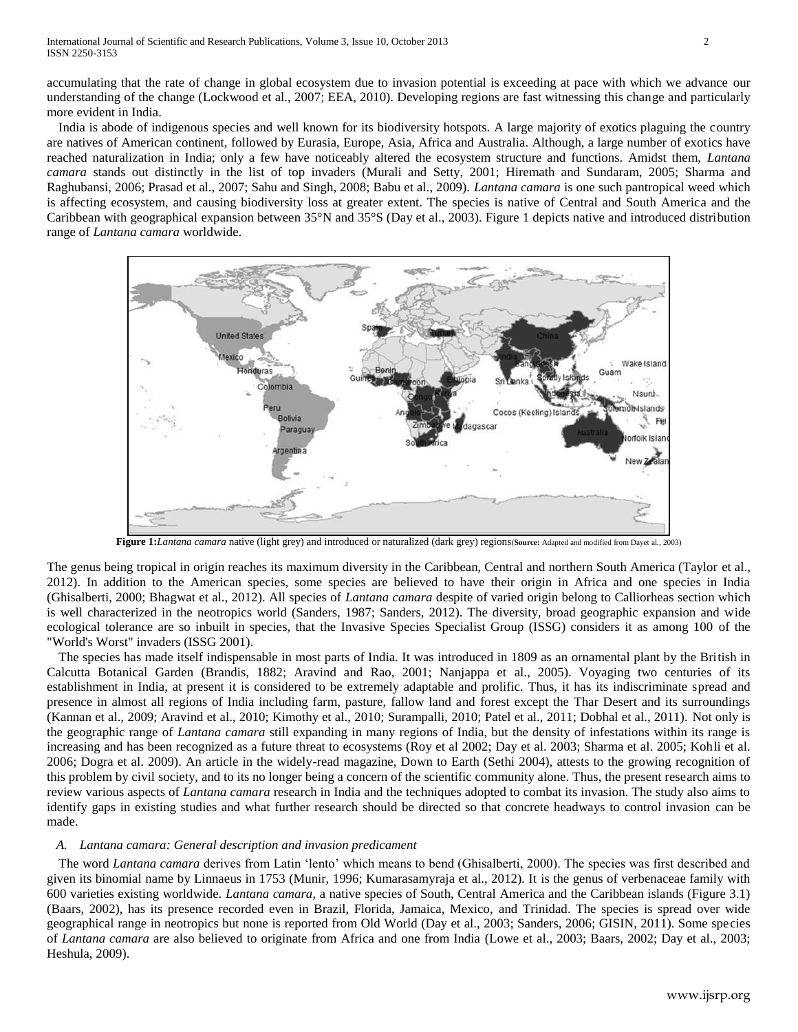accumulating that the rate of change in global ecosystem due to invasion potential is exceeding at pace with which we advance our understanding of the change (Lockwood et al., 2007; EEA, 2010). Developing regions are fast witnessing this change and particularly more evident in India.

India is abode of indigenous species and well known for its biodiversity hotspots. A large majority of exotics plaguing the country are natives of American continent, followed by Eurasia, Europe, Asia, Africa and Australia. Although, a large number of exotics have reached naturalization in India; only a few have noticeably altered the ecosystem structure and functions. Amidst them, *Lantana camara* stands out distinctly in the list of top invaders (Murali and Setty, 2001; Hiremath and Sundaram, 2005; Sharma and Raghubansi, 2006; Prasad et al., 2007; Sahu and Singh, 2008; Babu et al., 2009). *Lantana camara* is one such pantropical weed which is affecting ecosystem, and causing biodiversity loss at greater extent. The species is native of Central and South America and the Caribbean with geographical expansion between 35°N and 35°S (Day et al., 2003). Figure 1 depicts native and introduced distribution range of *Lantana camara* worldwide.



**Figure 1:***Lantana camara* native (light grey) and introduced or naturalized (dark grey) regions(**Source:** Adapted and modified from Dayet al.*,* 2003)

The genus being tropical in origin reaches its maximum diversity in the Caribbean, Central and northern South America (Taylor et al., 2012). In addition to the American species, some species are believed to have their origin in Africa and one species in India (Ghisalberti, 2000; Bhagwat et al., 2012). All species of *Lantana camara* despite of varied origin belong to Calliorheas section which is well characterized in the neotropics world (Sanders, 1987; Sanders, 2012). The diversity, broad geographic expansion and wide ecological tolerance are so inbuilt in species, that the Invasive Species Specialist Group (ISSG) considers it as among 100 of the "World's Worst" invaders (ISSG 2001).

The species has made itself indispensable in most parts of India. It was introduced in 1809 as an ornamental plant by the British in Calcutta Botanical Garden (Brandis, 1882; Aravind and Rao, 2001; Nanjappa et al., 2005). Voyaging two centuries of its establishment in India, at present it is considered to be extremely adaptable and prolific. Thus, it has its indiscriminate spread and presence in almost all regions of India including farm, pasture, fallow land and forest except the Thar Desert and its surroundings (Kannan et al., 2009; Aravind et al., 2010; Kimothy et al., 2010; Surampalli, 2010; Patel et al., 2011; Dobhal et al., 2011). Not only is the geographic range of *Lantana camara* still expanding in many regions of India, but the density of infestations within its range is increasing and has been recognized as a future threat to ecosystems (Roy et al 2002; Day et al. 2003; Sharma et al. 2005; Kohli et al. 2006; Dogra et al. 2009). An article in the widely-read magazine, Down to Earth (Sethi 2004), attests to the growing recognition of this problem by civil society, and to its no longer being a concern of the scientific community alone. Thus, the present research aims to review various aspects of *Lantana camara* research in India and the techniques adopted to combat its invasion. The study also aims to identify gaps in existing studies and what further research should be directed so that concrete headways to control invasion can be made.

## *A. Lantana camara: General description and invasion predicament*

The word *Lantana camara* derives from Latin 'lento' which means to bend (Ghisalberti, 2000). The species was first described and given its binomial name by Linnaeus in 1753 (Munir, 1996; Kumarasamyraja et al., 2012). It is the genus of verbenaceae family with 600 varieties existing worldwide. *Lantana camara*, a native species of South, Central America and the Caribbean islands (Figure 3.1) (Baars, 2002), has its presence recorded even in Brazil, Florida, Jamaica, Mexico, and Trinidad. The species is spread over wide geographical range in neotropics but none is reported from Old World (Day et al., 2003; Sanders, 2006; GISIN, 2011). Some species of *Lantana camara* are also believed to originate from Africa and one from India (Lowe et al., 2003; Baars, 2002; Day et al., 2003; Heshula, 2009).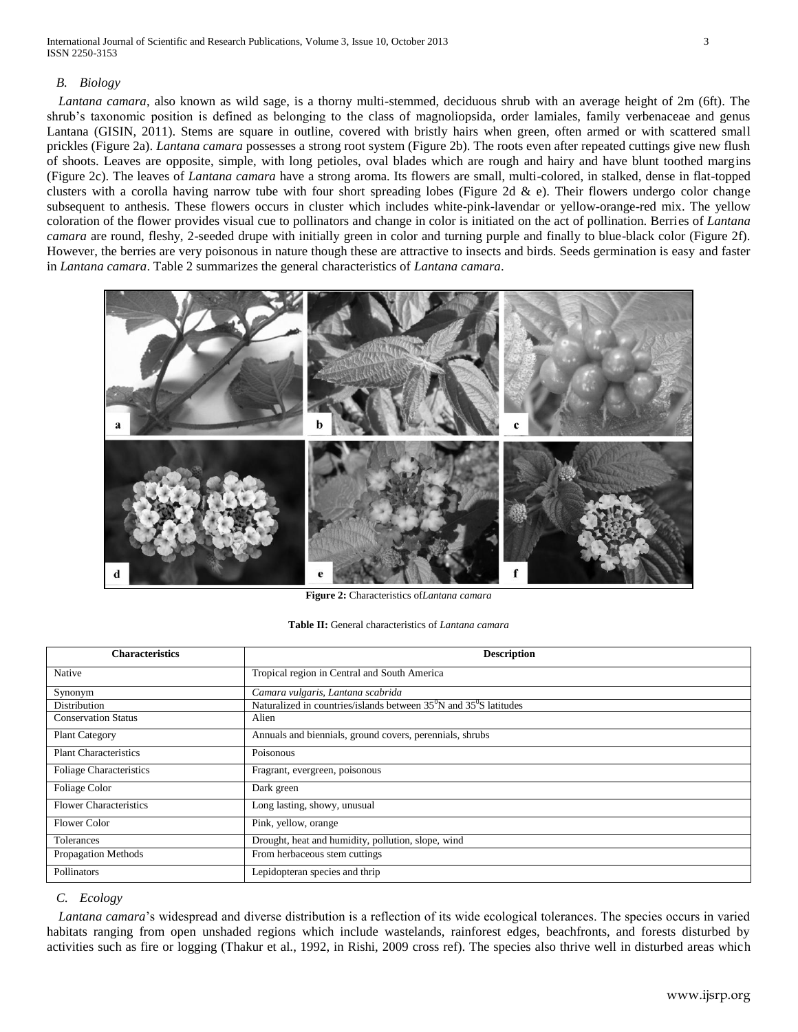## *B. Biology*

*Lantana camara*, also known as wild sage, is a thorny multi-stemmed, deciduous shrub with an average height of 2m (6ft). The shrub's taxonomic position is defined as belonging to the class of magnoliopsida, order lamiales, family verbenaceae and genus Lantana (GISIN, 2011). Stems are square in outline, covered with bristly hairs when green, often armed or with scattered small prickles (Figure 2a). *Lantana camara* possesses a strong root system (Figure 2b). The roots even after repeated cuttings give new flush of shoots. Leaves are opposite, simple, with long petioles, oval blades which are rough and hairy and have blunt toothed margins (Figure 2c). The leaves of *Lantana camara* have a strong aroma. Its flowers are small, multi-colored, in stalked, dense in flat-topped clusters with a corolla having narrow tube with four short spreading lobes (Figure 2d  $\&$  e). Their flowers undergo color change subsequent to anthesis. These flowers occurs in cluster which includes white-pink-lavendar or yellow-orange-red mix. The yellow coloration of the flower provides visual cue to pollinators and change in color is initiated on the act of pollination. Berries of *Lantana camara* are round, fleshy, 2-seeded drupe with initially green in color and turning purple and finally to blue-black color (Figure 2f). However, the berries are very poisonous in nature though these are attractive to insects and birds. Seeds germination is easy and faster in *Lantana camara*. Table 2 summarizes the general characteristics of *Lantana camara*.



**Figure 2:** Characteristics of*Lantana camara*

#### **Table II:** General characteristics of *Lantana camara*

| <b>Characteristics</b>         | <b>Description</b>                                                                         |
|--------------------------------|--------------------------------------------------------------------------------------------|
| Native                         | Tropical region in Central and South America                                               |
| Synonym                        | Camara vulgaris, Lantana scabrida                                                          |
| Distribution                   | Naturalized in countries/islands between 35 <sup>°</sup> N and 35 <sup>°</sup> S latitudes |
| <b>Conservation Status</b>     | Alien                                                                                      |
| <b>Plant Category</b>          | Annuals and biennials, ground covers, perennials, shrubs                                   |
| <b>Plant Characteristics</b>   | Poisonous                                                                                  |
| <b>Foliage Characteristics</b> | Fragrant, evergreen, poisonous                                                             |
| Foliage Color                  | Dark green                                                                                 |
| <b>Flower Characteristics</b>  | Long lasting, showy, unusual                                                               |
| <b>Flower Color</b>            | Pink, yellow, orange                                                                       |
| <b>Tolerances</b>              | Drought, heat and humidity, pollution, slope, wind                                         |
| Propagation Methods            | From herbaceous stem cuttings                                                              |
| Pollinators                    | Lepidopteran species and thrip                                                             |

## *C. Ecology*

*Lantana camara*'s widespread and diverse distribution is a reflection of its wide ecological tolerances. The species occurs in varied habitats ranging from open unshaded regions which include wastelands, rainforest edges, beachfronts, and forests disturbed by activities such as fire or logging (Thakur et al., 1992, in Rishi, 2009 cross ref). The species also thrive well in disturbed areas which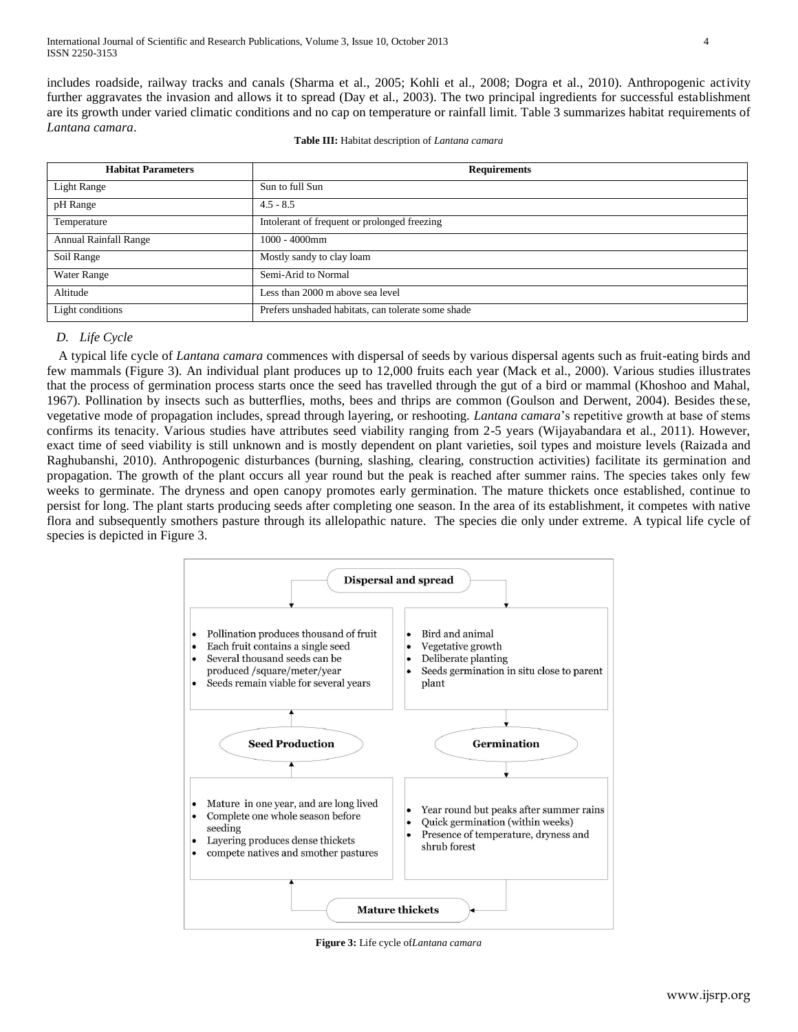includes roadside, railway tracks and canals (Sharma et al., 2005; Kohli et al., 2008; Dogra et al., 2010). Anthropogenic activity further aggravates the invasion and allows it to spread (Day et al., 2003). The two principal ingredients for successful establishment are its growth under varied climatic conditions and no cap on temperature or rainfall limit. Table 3 summarizes habitat requirements of *Lantana camara*.

| <b>Habitat Parameters</b>    | <b>Requirements</b>                                |
|------------------------------|----------------------------------------------------|
| Light Range                  | Sun to full Sun                                    |
| pH Range                     | $4.5 - 8.5$                                        |
| Temperature                  | Intolerant of frequent or prolonged freezing       |
| <b>Annual Rainfall Range</b> | $1000 - 4000$ mm                                   |
| Soil Range                   | Mostly sandy to clay loam                          |
| Water Range                  | Semi-Arid to Normal                                |
| Altitude                     | Less than 2000 m above sea level                   |
| Light conditions             | Prefers unshaded habitats, can tolerate some shade |

## *D. Life Cycle*

A typical life cycle of *Lantana camara* commences with dispersal of seeds by various dispersal agents such as fruit-eating birds and few mammals (Figure 3). An individual plant produces up to 12,000 fruits each year (Mack et al., 2000). Various studies illustrates that the process of germination process starts once the seed has travelled through the gut of a bird or mammal (Khoshoo and Mahal, 1967). Pollination by insects such as butterflies, moths, bees and thrips are common (Goulson and Derwent, 2004). Besides these, vegetative mode of propagation includes, spread through layering, or reshooting. *Lantana camara*'s repetitive growth at base of stems confirms its tenacity. Various studies have attributes seed viability ranging from 2-5 years (Wijayabandara et al., 2011). However, exact time of seed viability is still unknown and is mostly dependent on plant varieties, soil types and moisture levels (Raizada and Raghubanshi, 2010). Anthropogenic disturbances (burning, slashing, clearing, construction activities) facilitate its germination and propagation. The growth of the plant occurs all year round but the peak is reached after summer rains. The species takes only few weeks to germinate. The dryness and open canopy promotes early germination. The mature thickets once established, continue to persist for long. The plant starts producing seeds after completing one season. In the area of its establishment, it competes with native flora and subsequently smothers pasture through its allelopathic nature. The species die only under extreme. A typical life cycle of species is depicted in Figure 3.



**Figure 3:** Life cycle of*Lantana camara*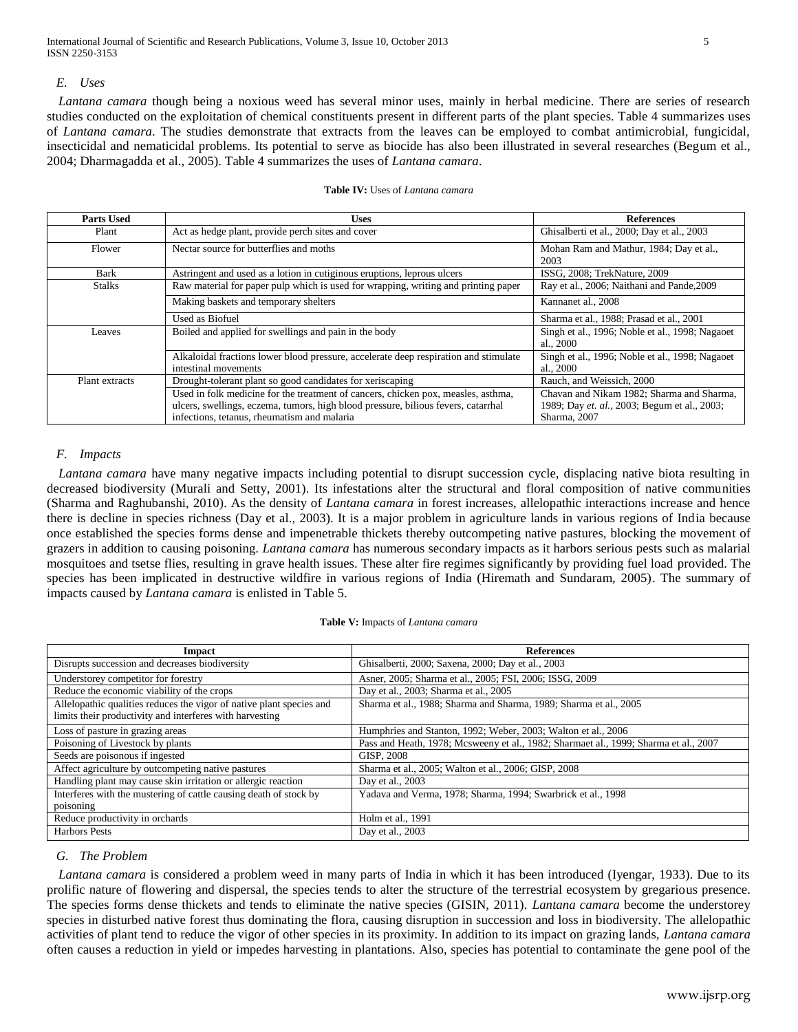International Journal of Scientific and Research Publications, Volume 3, Issue 10, October 2013 5 ISSN 2250-3153

infections, tetanus, rheumatism and malaria

#### *E. Uses*

*Lantana camara* though being a noxious weed has several minor uses, mainly in herbal medicine. There are series of research studies conducted on the exploitation of chemical constituents present in different parts of the plant species. Table 4 summarizes uses of *Lantana camara*. The studies demonstrate that extracts from the leaves can be employed to combat antimicrobial, fungicidal, insecticidal and nematicidal problems. Its potential to serve as biocide has also been illustrated in several researches (Begum et al., 2004; Dharmagadda et al., 2005). Table 4 summarizes the uses of *Lantana camara*.

#### **Parts Used Uses References** Plant Act as hedge plant, provide perch sites and cover Ghisalberti et al., 2000; Day et al., 2003 Flower Nectar source for butterflies and moths Mohan Ram and Mathur, 1984; Day et al., 2003 Bark Astringent and used as a lotion in cutiginous eruptions, leprous ulcers ISSG, 2008; TrekNature, 2009<br>Stalks Raw material for paper pulp which is used for wrapping, writing and printing paper Ray et al., 2006; Naithani Stalks Raw material for paper pulp which is used for wrapping, writing and printing paper Making baskets and temporary shelters Kannanet al., 2008 Used as Biofuel Sharma et al., 1988; Prasad et al., 2001 Leaves Boiled and applied for swellings and pain in the body Singh et al., 1996; Noble et al., 1998; Nagaoet al.*,* 2000 Alkaloidal fractions lower blood pressure, accelerate deep respiration and stimulate intestinal movements Singh et al., 1996; Noble et al., 1998; Nagaoet al.*,* 2000 Plant extracts Drought-tolerant plant so good candidates for xeriscaping Rauch, and Weissich, 2000 Used in folk medicine for the treatment of cancers, chicken pox, measles, asthma, ulcers, swellings, eczema, tumors, high blood pressure, bilious fevers, catarrhal Chavan and Nikam 1982; Sharma and Sharma, 1989; Day *et. al.,* 2003; Begum et al.*,* 2003;

#### **Table IV:** Uses of *Lantana camara*

## *F. Impacts*

*Lantana camara* have many negative impacts including potential to disrupt succession cycle, displacing native biota resulting in decreased biodiversity (Murali and Setty, 2001). Its infestations alter the structural and floral composition of native communities (Sharma and Raghubanshi, 2010). As the density of *Lantana camara* in forest increases, allelopathic interactions increase and hence there is decline in species richness (Day et al., 2003). It is a major problem in agriculture lands in various regions of India because once established the species forms dense and impenetrable thickets thereby outcompeting native pastures, blocking the movement of grazers in addition to causing poisoning. *Lantana camara* has numerous secondary impacts as it harbors serious pests such as malarial mosquitoes and tsetse flies, resulting in grave health issues. These alter fire regimes significantly by providing fuel load provided. The species has been implicated in destructive wildfire in various regions of India (Hiremath and Sundaram, 2005). The summary of impacts caused by *Lantana camara* is enlisted in Table 5.

Sharma, 2007

#### **Table V:** Impacts of *Lantana camara*

| Impact                                                               | <b>References</b>                                                                    |
|----------------------------------------------------------------------|--------------------------------------------------------------------------------------|
| Disrupts succession and decreases biodiversity                       | Ghisalberti, 2000; Saxena, 2000; Day et al., 2003                                    |
| Understorey competitor for forestry                                  | Asner, 2005; Sharma et al., 2005; FSI, 2006; ISSG, 2009                              |
| Reduce the economic viability of the crops                           | Day et al., 2003; Sharma et al., 2005                                                |
| Allelopathic qualities reduces the vigor of native plant species and | Sharma et al., 1988; Sharma and Sharma, 1989; Sharma et al., 2005                    |
| limits their productivity and interferes with harvesting             |                                                                                      |
| Loss of pasture in grazing areas                                     | Humphries and Stanton, 1992; Weber, 2003; Walton et al., 2006                        |
| Poisoning of Livestock by plants                                     | Pass and Heath, 1978; Mcsweeny et al., 1982; Sharmaet al., 1999; Sharma et al., 2007 |
| Seeds are poisonous if ingested                                      | GISP, 2008                                                                           |
| Affect agriculture by outcompeting native pastures                   | Sharma et al., 2005; Walton et al., 2006; GISP, 2008                                 |
| Handling plant may cause skin irritation or allergic reaction        | Day et al., 2003                                                                     |
| Interferes with the mustering of cattle causing death of stock by    | Yadava and Verma, 1978; Sharma, 1994; Swarbrick et al., 1998                         |
| poisoning                                                            |                                                                                      |
| Reduce productivity in orchards                                      | Holm et al., 1991                                                                    |
| <b>Harbors Pests</b>                                                 | Day et al., 2003                                                                     |

## *G. The Problem*

*Lantana camara* is considered a problem weed in many parts of India in which it has been introduced (Iyengar, 1933). Due to its prolific nature of flowering and dispersal, the species tends to alter the structure of the terrestrial ecosystem by gregarious presence. The species forms dense thickets and tends to eliminate the native species (GISIN, 2011). *Lantana camara* become the understorey species in disturbed native forest thus dominating the flora, causing disruption in succession and loss in biodiversity. The allelopathic activities of plant tend to reduce the vigor of other species in its proximity. In addition to its impact on grazing lands, *Lantana camara* often causes a reduction in yield or impedes harvesting in plantations. Also, species has potential to contaminate the gene pool of the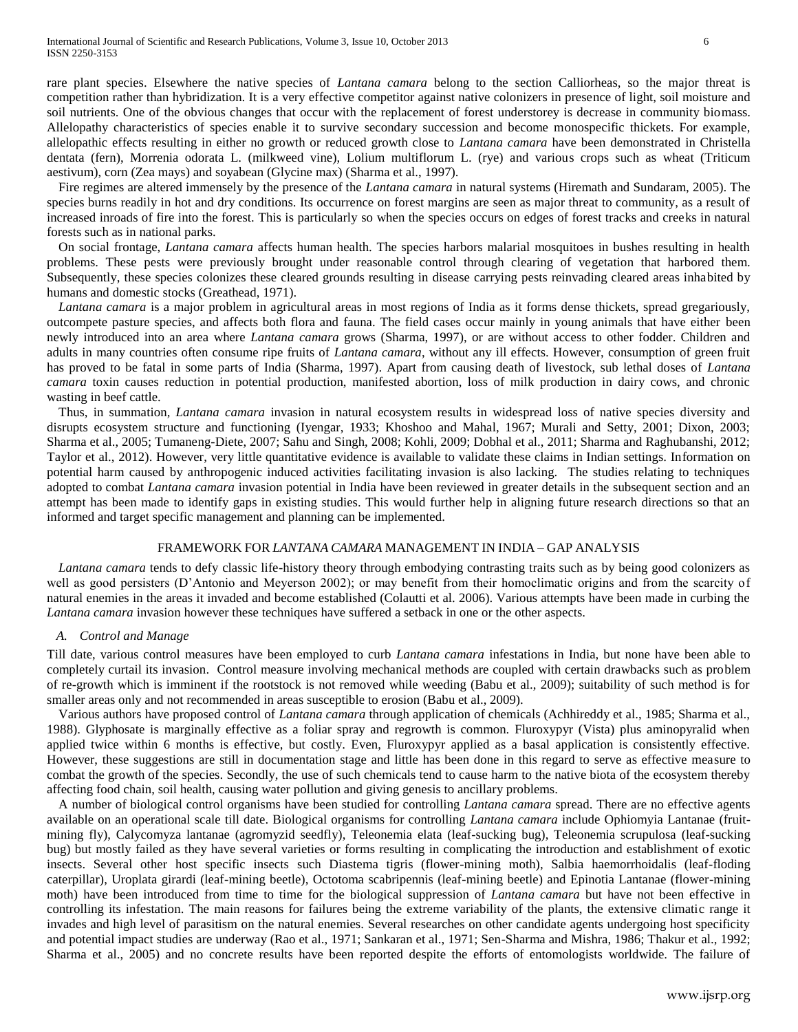rare plant species. Elsewhere the native species of *Lantana camara* belong to the section Calliorheas, so the major threat is competition rather than hybridization. It is a very effective competitor against native colonizers in presence of light, soil moisture and soil nutrients. One of the obvious changes that occur with the replacement of forest understorey is decrease in community biomass. Allelopathy characteristics of species enable it to survive secondary succession and become monospecific thickets. For example, allelopathic effects resulting in either no growth or reduced growth close to *Lantana camara* have been demonstrated in Christella dentata (fern), Morrenia odorata L. (milkweed vine), Lolium multiflorum L. (rye) and various crops such as wheat (Triticum aestivum), corn (Zea mays) and soyabean (Glycine max) (Sharma et al., 1997).

Fire regimes are altered immensely by the presence of the *Lantana camara* in natural systems (Hiremath and Sundaram, 2005). The species burns readily in hot and dry conditions. Its occurrence on forest margins are seen as major threat to community, as a result of increased inroads of fire into the forest. This is particularly so when the species occurs on edges of forest tracks and creeks in natural forests such as in national parks.

On social frontage, *Lantana camara* affects human health. The species harbors malarial mosquitoes in bushes resulting in health problems. These pests were previously brought under reasonable control through clearing of vegetation that harbored them. Subsequently, these species colonizes these cleared grounds resulting in disease carrying pests reinvading cleared areas inhabited by humans and domestic stocks (Greathead, 1971).

*Lantana camara* is a major problem in agricultural areas in most regions of India as it forms dense thickets, spread gregariously, outcompete pasture species, and affects both flora and fauna. The field cases occur mainly in young animals that have either been newly introduced into an area where *Lantana camara* grows (Sharma, 1997), or are without access to other fodder. Children and adults in many countries often consume ripe fruits of *Lantana camara*, without any ill effects. However, consumption of green fruit has proved to be fatal in some parts of India (Sharma, 1997). Apart from causing death of livestock, sub lethal doses of *Lantana camara* toxin causes reduction in potential production, manifested abortion, loss of milk production in dairy cows, and chronic wasting in beef cattle.

Thus, in summation, *Lantana camara* invasion in natural ecosystem results in widespread loss of native species diversity and disrupts ecosystem structure and functioning (Iyengar, 1933; Khoshoo and Mahal, 1967; Murali and Setty, 2001; Dixon, 2003; Sharma et al., 2005; Tumaneng-Diete, 2007; Sahu and Singh, 2008; Kohli, 2009; Dobhal et al., 2011; Sharma and Raghubanshi, 2012; Taylor et al., 2012). However, very little quantitative evidence is available to validate these claims in Indian settings. Information on potential harm caused by anthropogenic induced activities facilitating invasion is also lacking. The studies relating to techniques adopted to combat *Lantana camara* invasion potential in India have been reviewed in greater details in the subsequent section and an attempt has been made to identify gaps in existing studies. This would further help in aligning future research directions so that an informed and target specific management and planning can be implemented.

### FRAMEWORK FOR *LANTANA CAMARA* MANAGEMENT IN INDIA – GAP ANALYSIS

*Lantana camara* tends to defy classic life-history theory through embodying contrasting traits such as by being good colonizers as well as good persisters (D'Antonio and Meyerson 2002); or may benefit from their homoclimatic origins and from the scarcity of natural enemies in the areas it invaded and become established (Colautti et al. 2006). Various attempts have been made in curbing the *Lantana camara* invasion however these techniques have suffered a setback in one or the other aspects.

#### *A. Control and Manage*

Till date, various control measures have been employed to curb *Lantana camara* infestations in India, but none have been able to completely curtail its invasion. Control measure involving mechanical methods are coupled with certain drawbacks such as problem of re-growth which is imminent if the rootstock is not removed while weeding (Babu et al., 2009); suitability of such method is for smaller areas only and not recommended in areas susceptible to erosion (Babu et al., 2009).

Various authors have proposed control of *Lantana camara* through application of chemicals (Achhireddy et al., 1985; Sharma et al., 1988). Glyphosate is marginally effective as a foliar spray and regrowth is common. Fluroxypyr (Vista) plus aminopyralid when applied twice within 6 months is effective, but costly. Even, Fluroxypyr applied as a basal application is consistently effective. However, these suggestions are still in documentation stage and little has been done in this regard to serve as effective measure to combat the growth of the species. Secondly, the use of such chemicals tend to cause harm to the native biota of the ecosystem thereby affecting food chain, soil health, causing water pollution and giving genesis to ancillary problems.

A number of biological control organisms have been studied for controlling *Lantana camara* spread. There are no effective agents available on an operational scale till date. Biological organisms for controlling *Lantana camara* include Ophiomyia Lantanae (fruitmining fly), Calycomyza lantanae (agromyzid seedfly), Teleonemia elata (leaf-sucking bug), Teleonemia scrupulosa (leaf-sucking bug) but mostly failed as they have several varieties or forms resulting in complicating the introduction and establishment of exotic insects. Several other host specific insects such Diastema tigris (flower-mining moth), Salbia haemorrhoidalis (leaf-floding caterpillar), Uroplata girardi (leaf-mining beetle), Octotoma scabripennis (leaf-mining beetle) and Epinotia Lantanae (flower-mining moth) have been introduced from time to time for the biological suppression of *Lantana camara* but have not been effective in controlling its infestation. The main reasons for failures being the extreme variability of the plants, the extensive climatic range it invades and high level of parasitism on the natural enemies. Several researches on other candidate agents undergoing host specificity and potential impact studies are underway (Rao et al., 1971; Sankaran et al., 1971; Sen-Sharma and Mishra, 1986; Thakur et al., 1992; Sharma et al., 2005) and no concrete results have been reported despite the efforts of entomologists worldwide. The failure of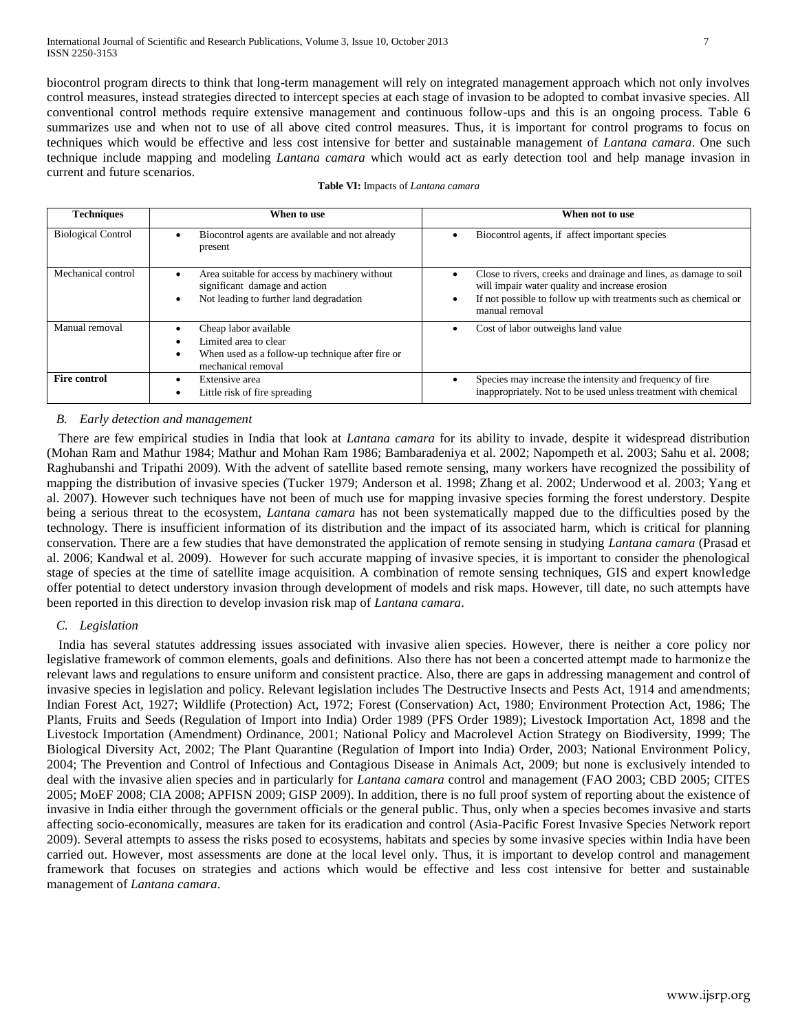biocontrol program directs to think that long-term management will rely on integrated management approach which not only involves control measures, instead strategies directed to intercept species at each stage of invasion to be adopted to combat invasive species. All conventional control methods require extensive management and continuous follow-ups and this is an ongoing process. Table 6 summarizes use and when not to use of all above cited control measures. Thus, it is important for control programs to focus on techniques which would be effective and less cost intensive for better and sustainable management of *Lantana camara*. One such technique include mapping and modeling *Lantana camara* which would act as early detection tool and help manage invasion in current and future scenarios.

| <b>Techniques</b>         | When to use                                                                                                               | When not to use                                                                                                                                                                                                        |
|---------------------------|---------------------------------------------------------------------------------------------------------------------------|------------------------------------------------------------------------------------------------------------------------------------------------------------------------------------------------------------------------|
| <b>Biological Control</b> | Biocontrol agents are available and not already<br>present                                                                | Biocontrol agents, if affect important species                                                                                                                                                                         |
| Mechanical control        | Area suitable for access by machinery without<br>significant damage and action<br>Not leading to further land degradation | Close to rivers, creeks and drainage and lines, as damage to soil<br>will impair water quality and increase erosion<br>If not possible to follow up with treatments such as chemical or<br>$\bullet$<br>manual removal |
| Manual removal            | Cheap labor available<br>Limited area to clear<br>When used as a follow-up technique after fire or<br>mechanical removal  | Cost of labor outweighs land value<br>٠                                                                                                                                                                                |
| <b>Fire control</b>       | Extensive area<br>Little risk of fire spreading                                                                           | Species may increase the intensity and frequency of fire<br>٠<br>inappropriately. Not to be used unless treatment with chemical                                                                                        |

#### **Table VI:** Impacts of *Lantana camara*

## *B. Early detection and management*

There are few empirical studies in India that look at *Lantana camara* for its ability to invade, despite it widespread distribution (Mohan Ram and Mathur 1984; Mathur and Mohan Ram 1986; Bambaradeniya et al. 2002; Napompeth et al. 2003; Sahu et al. 2008; Raghubanshi and Tripathi 2009). With the advent of satellite based remote sensing, many workers have recognized the possibility of mapping the distribution of invasive species (Tucker 1979; Anderson et al. 1998; Zhang et al. 2002; Underwood et al. 2003; Yang et al. 2007). However such techniques have not been of much use for mapping invasive species forming the forest understory. Despite being a serious threat to the ecosystem, *Lantana camara* has not been systematically mapped due to the difficulties posed by the technology. There is insufficient information of its distribution and the impact of its associated harm, which is critical for planning conservation. There are a few studies that have demonstrated the application of remote sensing in studying *Lantana camara* (Prasad et al. 2006; Kandwal et al. 2009). However for such accurate mapping of invasive species, it is important to consider the phenological stage of species at the time of satellite image acquisition. A combination of remote sensing techniques, GIS and expert knowledge offer potential to detect understory invasion through development of models and risk maps. However, till date, no such attempts have been reported in this direction to develop invasion risk map of *Lantana camara*.

## *C. Legislation*

India has several statutes addressing issues associated with invasive alien species. However, there is neither a core policy nor legislative framework of common elements, goals and definitions. Also there has not been a concerted attempt made to harmonize the relevant laws and regulations to ensure uniform and consistent practice. Also, there are gaps in addressing management and control of invasive species in legislation and policy. Relevant legislation includes The Destructive Insects and Pests Act, 1914 and amendments; Indian Forest Act, 1927; Wildlife (Protection) Act, 1972; Forest (Conservation) Act, 1980; Environment Protection Act, 1986; The Plants, Fruits and Seeds (Regulation of Import into India) Order 1989 (PFS Order 1989); Livestock Importation Act, 1898 and the Livestock Importation (Amendment) Ordinance, 2001; National Policy and Macrolevel Action Strategy on Biodiversity, 1999; The Biological Diversity Act, 2002; The Plant Quarantine (Regulation of Import into India) Order, 2003; National Environment Policy, 2004; The Prevention and Control of Infectious and Contagious Disease in Animals Act, 2009; but none is exclusively intended to deal with the invasive alien species and in particularly for *Lantana camara* control and management (FAO 2003; CBD 2005; CITES 2005; MoEF 2008; CIA 2008; APFISN 2009; GISP 2009). In addition, there is no full proof system of reporting about the existence of invasive in India either through the government officials or the general public. Thus, only when a species becomes invasive and starts affecting socio-economically, measures are taken for its eradication and control (Asia-Pacific Forest Invasive Species Network report 2009). Several attempts to assess the risks posed to ecosystems, habitats and species by some invasive species within India have been carried out. However, most assessments are done at the local level only. Thus, it is important to develop control and management framework that focuses on strategies and actions which would be effective and less cost intensive for better and sustainable management of *Lantana camara*.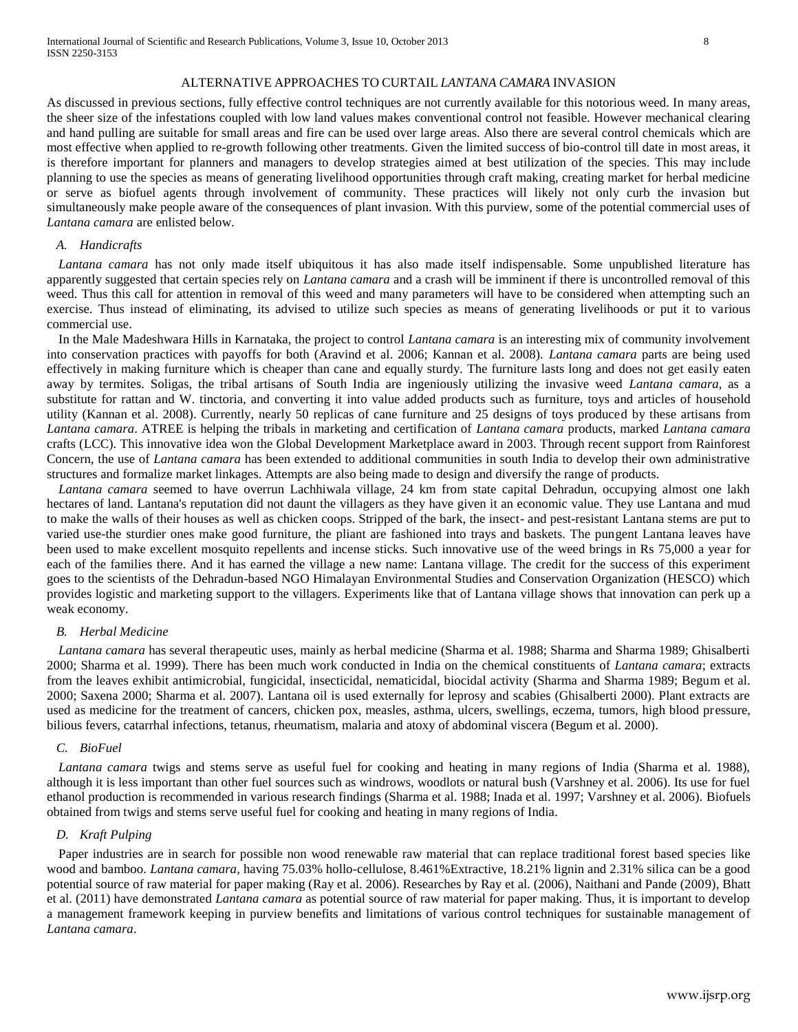#### ALTERNATIVE APPROACHES TO CURTAIL *LANTANA CAMARA* INVASION

As discussed in previous sections, fully effective control techniques are not currently available for this notorious weed. In many areas, the sheer size of the infestations coupled with low land values makes conventional control not feasible. However mechanical clearing and hand pulling are suitable for small areas and fire can be used over large areas. Also there are several control chemicals which are most effective when applied to re-growth following other treatments. Given the limited success of bio-control till date in most areas, it is therefore important for planners and managers to develop strategies aimed at best utilization of the species. This may include planning to use the species as means of generating livelihood opportunities through craft making, creating market for herbal medicine or serve as biofuel agents through involvement of community. These practices will likely not only curb the invasion but simultaneously make people aware of the consequences of plant invasion. With this purview, some of the potential commercial uses of *Lantana camara* are enlisted below.

#### *A. Handicrafts*

*Lantana camara* has not only made itself ubiquitous it has also made itself indispensable. Some unpublished literature has apparently suggested that certain species rely on *Lantana camara* and a crash will be imminent if there is uncontrolled removal of this weed. Thus this call for attention in removal of this weed and many parameters will have to be considered when attempting such an exercise. Thus instead of eliminating, its advised to utilize such species as means of generating livelihoods or put it to various commercial use.

In the Male Madeshwara Hills in Karnataka, the project to control *Lantana camara* is an interesting mix of community involvement into conservation practices with payoffs for both (Aravind et al. 2006; Kannan et al. 2008). *Lantana camara* parts are being used effectively in making furniture which is cheaper than cane and equally sturdy. The furniture lasts long and does not get easily eaten away by termites. Soligas, the tribal artisans of South India are ingeniously utilizing the invasive weed *Lantana camara*, as a substitute for rattan and W. tinctoria, and converting it into value added products such as furniture, toys and articles of household utility (Kannan et al. 2008). Currently, nearly 50 replicas of cane furniture and 25 designs of toys produced by these artisans from *Lantana camara*. ATREE is helping the tribals in marketing and certification of *Lantana camara* products, marked *Lantana camara* crafts (LCC). This innovative idea won the Global Development Marketplace award in 2003. Through recent support from Rainforest Concern, the use of *Lantana camara* has been extended to additional communities in south India to develop their own administrative structures and formalize market linkages. Attempts are also being made to design and diversify the range of products.

*Lantana camara* seemed to have overrun Lachhiwala village, 24 km from state capital Dehradun, occupying almost one lakh hectares of land. Lantana's reputation did not daunt the villagers as they have given it an economic value. They use Lantana and mud to make the walls of their houses as well as chicken coops. Stripped of the bark, the insect- and pest-resistant Lantana stems are put to varied use-the sturdier ones make good furniture, the pliant are fashioned into trays and baskets. The pungent Lantana leaves have been used to make excellent mosquito repellents and incense sticks. Such innovative use of the weed brings in Rs 75,000 a year for each of the families there. And it has earned the village a new name: Lantana village. The credit for the success of this experiment goes to the scientists of the Dehradun-based NGO Himalayan Environmental Studies and Conservation Organization (HESCO) which provides logistic and marketing support to the villagers. Experiments like that of Lantana village shows that innovation can perk up a weak economy.

#### *B. Herbal Medicine*

*Lantana camara* has several therapeutic uses, mainly as herbal medicine (Sharma et al. 1988; Sharma and Sharma 1989; Ghisalberti 2000; Sharma et al. 1999). There has been much work conducted in India on the chemical constituents of *Lantana camara*; extracts from the leaves exhibit antimicrobial, fungicidal, insecticidal, nematicidal, biocidal activity (Sharma and Sharma 1989; Begum et al. 2000; Saxena 2000; Sharma et al. 2007). Lantana oil is used externally for leprosy and scabies (Ghisalberti 2000). Plant extracts are used as medicine for the treatment of cancers, chicken pox, measles, asthma, ulcers, swellings, eczema, tumors, high blood pressure, bilious fevers, catarrhal infections, tetanus, rheumatism, malaria and atoxy of abdominal viscera (Begum et al. 2000).

#### *C. BioFuel*

*Lantana camara* twigs and stems serve as useful fuel for cooking and heating in many regions of India (Sharma et al. 1988), although it is less important than other fuel sources such as windrows, woodlots or natural bush (Varshney et al. 2006). Its use for fuel ethanol production is recommended in various research findings (Sharma et al. 1988; Inada et al. 1997; Varshney et al. 2006). Biofuels obtained from twigs and stems serve useful fuel for cooking and heating in many regions of India.

#### *D. Kraft Pulping*

Paper industries are in search for possible non wood renewable raw material that can replace traditional forest based species like wood and bamboo. *Lantana camara*, having 75.03% hollo-cellulose, 8.461%Extractive, 18.21% lignin and 2.31% silica can be a good potential source of raw material for paper making (Ray et al. 2006). Researches by Ray et al. (2006), Naithani and Pande (2009), Bhatt et al. (2011) have demonstrated *Lantana camara* as potential source of raw material for paper making. Thus, it is important to develop a management framework keeping in purview benefits and limitations of various control techniques for sustainable management of *Lantana camara*.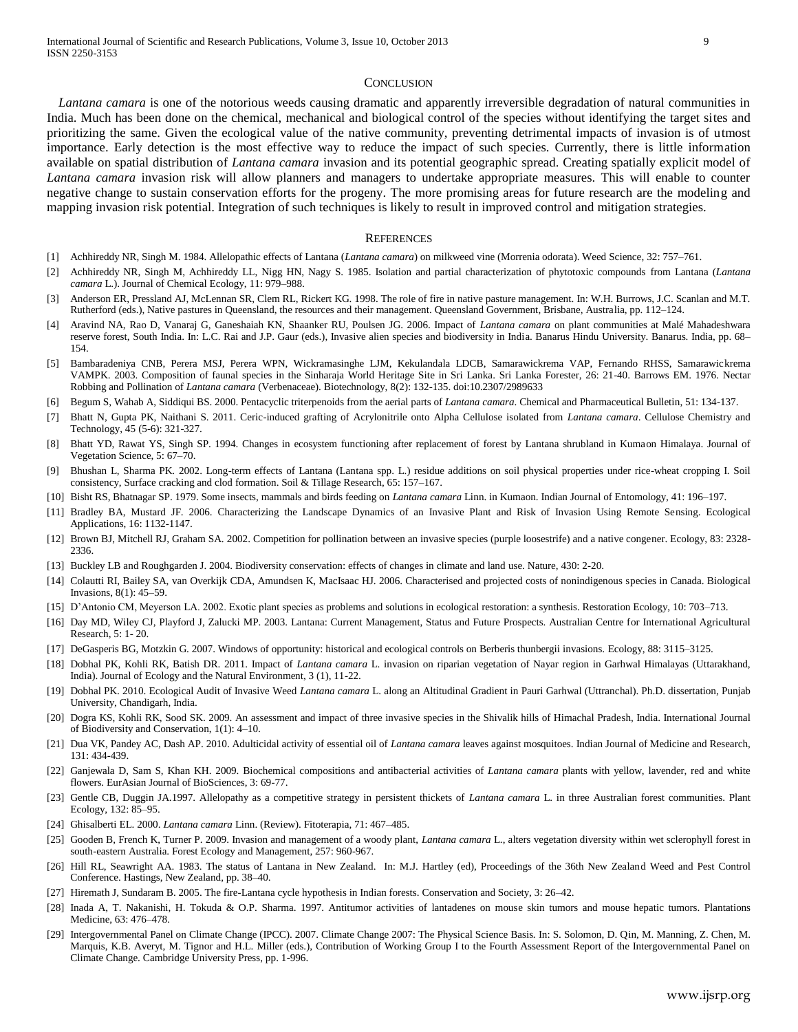#### **CONCLUSION**

*Lantana camara* is one of the notorious weeds causing dramatic and apparently irreversible degradation of natural communities in India. Much has been done on the chemical, mechanical and biological control of the species without identifying the target sites and prioritizing the same. Given the ecological value of the native community, preventing detrimental impacts of invasion is of utmost importance. Early detection is the most effective way to reduce the impact of such species. Currently, there is little information available on spatial distribution of *Lantana camara* invasion and its potential geographic spread. Creating spatially explicit model of *Lantana camara* invasion risk will allow planners and managers to undertake appropriate measures. This will enable to counter negative change to sustain conservation efforts for the progeny. The more promising areas for future research are the modeling and mapping invasion risk potential. Integration of such techniques is likely to result in improved control and mitigation strategies.

#### **REFERENCES**

- [1] Achhireddy NR, Singh M. 1984. Allelopathic effects of Lantana (*Lantana camara*) on milkweed vine (Morrenia odorata). Weed Science, 32: 757–761.
- [2] Achhireddy NR, Singh M, Achhireddy LL, Nigg HN, Nagy S. 1985. Isolation and partial characterization of phytotoxic compounds from Lantana (*Lantana camara* L.). Journal of Chemical Ecology, 11: 979–988.
- Anderson ER, Pressland AJ, McLennan SR, Clem RL, Rickert KG. 1998. The role of fire in native pasture management. In: W.H. Burrows, J.C. Scanlan and M.T. Rutherford (eds.), Native pastures in Queensland, the resources and their management. Queensland Government, Brisbane, Australia, pp. 112–124.
- [4] Aravind NA, Rao D, Vanaraj G, Ganeshaiah KN, Shaanker RU, Poulsen JG. 2006. Impact of *Lantana camara* on plant communities at Malé Mahadeshwara reserve forest, South India. In: L.C. Rai and J.P. Gaur (eds.), Invasive alien species and biodiversity in India. Banarus Hindu University. Banarus. India, pp. 68– 154.
- [5] Bambaradeniya CNB, Perera MSJ, Perera WPN, Wickramasinghe LJM, Kekulandala LDCB, Samarawickrema VAP, Fernando RHSS, Samarawickrema VAMPK. 2003. Composition of faunal species in the Sinharaja World Heritage Site in Sri Lanka. Sri Lanka Forester, 26: 21-40. Barrows EM. 1976. Nectar Robbing and Pollination of *Lantana camara* (Verbenaceae). Biotechnology, 8(2): 132-135. doi:10.2307/2989633
- [6] Begum S, Wahab A, Siddiqui BS. 2000. Pentacyclic triterpenoids from the aerial parts of *Lantana camara*. Chemical and Pharmaceutical Bulletin, 51: 134-137.
- [7] Bhatt N, Gupta PK, Naithani S. 2011. Ceric-induced grafting of Acrylonitrile onto Alpha Cellulose isolated from *Lantana camara*. Cellulose Chemistry and Technology, 45 (5-6): 321-327.
- [8] Bhatt YD, Rawat YS, Singh SP. 1994. Changes in ecosystem functioning after replacement of forest by Lantana shrubland in Kumaon Himalaya. Journal of Vegetation Science, 5: 67–70.
- [9] Bhushan L, Sharma PK. 2002. Long-term effects of Lantana (Lantana spp. L.) residue additions on soil physical properties under rice-wheat cropping I. Soil consistency, Surface cracking and clod formation. Soil & Tillage Research, 65: 157–167.
- [10] Bisht RS, Bhatnagar SP. 1979. Some insects, mammals and birds feeding on *Lantana camara* Linn. in Kumaon. Indian Journal of Entomology, 41: 196–197.
- [11] Bradley BA, Mustard JF. 2006. Characterizing the Landscape Dynamics of an Invasive Plant and Risk of Invasion Using Remote Sensing. Ecological Applications, 16: 1132-1147.
- [12] Brown BJ, Mitchell RJ, Graham SA. 2002. Competition for pollination between an invasive species (purple loosestrife) and a native congener. Ecology, 83: 2328- 2336.
- [13] Buckley LB and Roughgarden J. 2004. Biodiversity conservation: effects of changes in climate and land use. Nature, 430: 2-20.
- [14] Colautti RI, Bailey SA, van Overkijk CDA, Amundsen K, MacIsaac HJ. 2006. Characterised and projected costs of nonindigenous species in Canada. Biological Invasions, 8(1): 45–59.
- [15] D'Antonio CM, Meyerson LA. 2002. Exotic plant species as problems and solutions in ecological restoration: a synthesis. Restoration Ecology, 10: 703–713.
- [16] Day MD, Wiley CJ, Playford J, Zalucki MP. 2003. Lantana: Current Management, Status and Future Prospects. Australian Centre for International Agricultural Research, 5: 1- 20.
- [17] DeGasperis BG, Motzkin G. 2007. Windows of opportunity: historical and ecological controls on Berberis thunbergii invasions. Ecology, 88: 3115–3125.
- [18] Dobhal PK, Kohli RK, Batish DR. 2011. Impact of *Lantana camara* L. invasion on riparian vegetation of Nayar region in Garhwal Himalayas (Uttarakhand, India). Journal of Ecology and the Natural Environment, 3 (1), 11-22.
- [19] Dobhal PK. 2010. Ecological Audit of Invasive Weed *Lantana camara* L. along an Altitudinal Gradient in Pauri Garhwal (Uttranchal). Ph.D. dissertation, Punjab University, Chandigarh, India.
- [20] Dogra KS, Kohli RK, Sood SK. 2009. An assessment and impact of three invasive species in the Shivalik hills of Himachal Pradesh, India. International Journal of Biodiversity and Conservation, 1(1): 4–10.
- [21] Dua VK, Pandey AC, Dash AP. 2010. Adulticidal activity of essential oil of *Lantana camara* leaves against mosquitoes. Indian Journal of Medicine and Research, 131: 434-439.
- [22] Ganjewala D, Sam S, Khan KH. 2009. Biochemical compositions and antibacterial activities of *Lantana camara* plants with yellow, lavender, red and white flowers. EurAsian Journal of BioSciences, 3: 69-77.
- [23] Gentle CB, Duggin JA.1997. Allelopathy as a competitive strategy in persistent thickets of *Lantana camara* L. in three Australian forest communities. Plant Ecology, 132: 85–95.
- [24] Ghisalberti EL. 2000. *Lantana camara* Linn. (Review). Fitoterapia, 71: 467–485.
- [25] Gooden B, French K, Turner P. 2009. Invasion and management of a woody plant, *Lantana camara* L., alters vegetation diversity within wet sclerophyll forest in south-eastern Australia. Forest Ecology and Management, 257: 960-967.
- [26] Hill RL, Seawright AA. 1983. The status of Lantana in New Zealand. In: M.J. Hartley (ed), Proceedings of the 36th New Zealand Weed and Pest Control Conference. Hastings, New Zealand, pp. 38–40.
- [27] Hiremath J, Sundaram B. 2005. The fire-Lantana cycle hypothesis in Indian forests. Conservation and Society, 3: 26–42.
- [28] Inada A, T. Nakanishi, H. Tokuda & O.P. Sharma. 1997. Antitumor activities of lantadenes on mouse skin tumors and mouse hepatic tumors. Plantations Medicine, 63: 476–478.
- [29] Intergovernmental Panel on Climate Change (IPCC). 2007. Climate Change 2007: The Physical Science Basis. In: S. Solomon, D. Qin, M. Manning, Z. Chen, M. Marquis, K.B. Averyt, M. Tignor and H.L. Miller (eds.), Contribution of Working Group I to the Fourth Assessment Report of the Intergovernmental Panel on Climate Change. Cambridge University Press, pp. 1-996.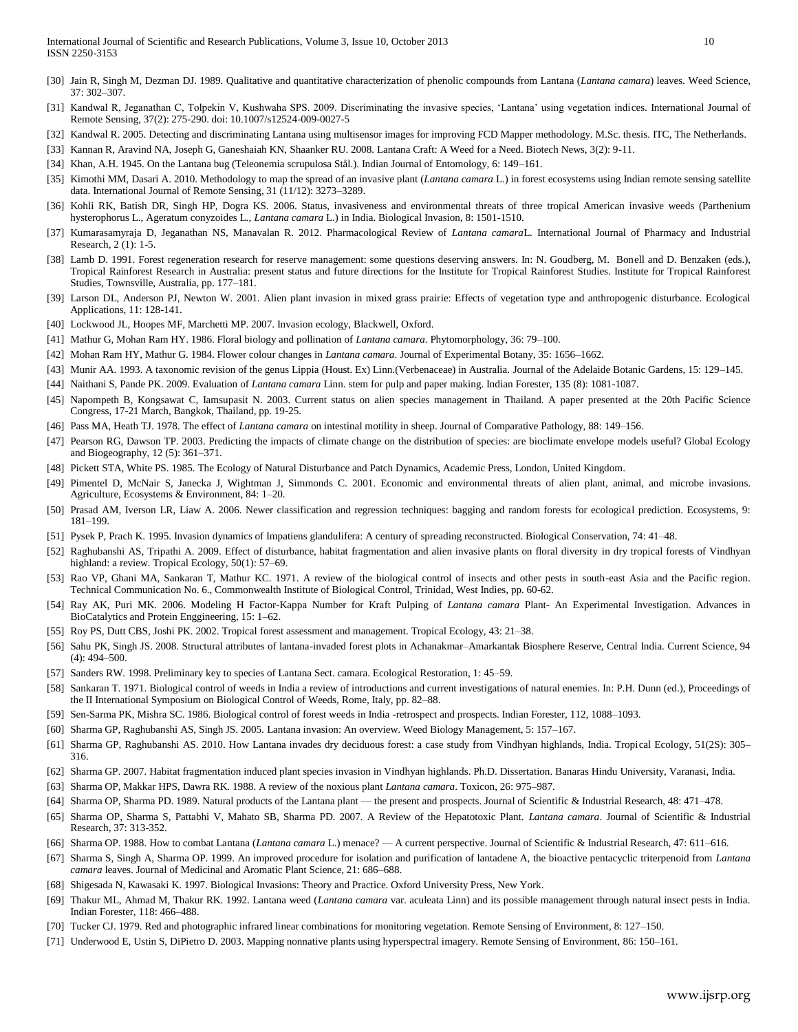- [30] Jain R, Singh M, Dezman DJ. 1989. Qualitative and quantitative characterization of phenolic compounds from Lantana (*Lantana camara*) leaves. Weed Science, 37: 302–307.
- [31] Kandwal R, Jeganathan C, Tolpekin V, Kushwaha SPS. 2009. Discriminating the invasive species, 'Lantana' using vegetation indices. International Journal of Remote Sensing, 37(2): 275-290. doi: 10.1007/s12524-009-0027-5
- [32] Kandwal R. 2005. Detecting and discriminating Lantana using multisensor images for improving FCD Mapper methodology. M.Sc. thesis. ITC, The Netherlands.

[33] Kannan R, Aravind NA, Joseph G, Ganeshaiah KN, Shaanker RU. 2008. Lantana Craft: A Weed for a Need. Biotech News, 3(2): 9-11.

- [34] Khan, A.H. 1945. On the Lantana bug (Teleonemia scrupulosa Stål.). Indian Journal of Entomology, 6: 149–161.
- [35] Kimothi MM, Dasari A. 2010. Methodology to map the spread of an invasive plant (*Lantana camara* L.) in forest ecosystems using Indian remote sensing satellite data. International Journal of Remote Sensing, 31 (11/12): 3273–3289.
- [36] Kohli RK, Batish DR, Singh HP, Dogra KS. 2006. Status, invasiveness and environmental threats of three tropical American invasive weeds (Parthenium hysterophorus L., Ageratum conyzoides L., *Lantana camara* L.) in India. Biological Invasion, 8: 1501-1510.
- [37] Kumarasamyraja D, Jeganathan NS, Manavalan R. 2012. Pharmacological Review of *Lantana camara*L. International Journal of Pharmacy and Industrial Research, 2 (1): 1-5.
- [38] Lamb D. 1991. Forest regeneration research for reserve management: some questions deserving answers. In: N. Goudberg, M. Bonell and D. Benzaken (eds.), Tropical Rainforest Research in Australia: present status and future directions for the Institute for Tropical Rainforest Studies. Institute for Tropical Rainforest Studies, Townsville, Australia, pp. 177–181.
- [39] Larson DL, Anderson PJ, Newton W. 2001. Alien plant invasion in mixed grass prairie: Effects of vegetation type and anthropogenic disturbance. Ecological Applications, 11: 128-141.
- [40] Lockwood JL, Hoopes MF, Marchetti MP. 2007. Invasion ecology, Blackwell, Oxford.
- [41] Mathur G, Mohan Ram HY. 1986. Floral biology and pollination of *Lantana camara*. Phytomorphology, 36: 79–100.
- [42] Mohan Ram HY, Mathur G. 1984. Flower colour changes in *Lantana camara*. Journal of Experimental Botany, 35: 1656–1662.
- [43] Munir AA. 1993. A taxonomic revision of the genus Lippia (Houst. Ex) Linn.(Verbenaceae) in Australia. Journal of the Adelaide Botanic Gardens, 15: 129–145.
- [44] Naithani S, Pande PK. 2009. Evaluation of *Lantana camara* Linn. stem for pulp and paper making. Indian Forester, 135 (8): 1081-1087.
- [45] Napompeth B, Kongsawat C, Iamsupasit N. 2003. Current status on alien species management in Thailand. A paper presented at the 20th Pacific Science Congress, 17-21 March, Bangkok, Thailand, pp. 19-25.
- [46] Pass MA, Heath TJ. 1978. The effect of *Lantana camara* on intestinal motility in sheep. Journal of Comparative Pathology, 88: 149–156.
- [47] Pearson RG, Dawson TP. 2003. Predicting the impacts of climate change on the distribution of species: are bioclimate envelope models useful? Global Ecology and Biogeography, 12 (5): 361–371.
- [48] Pickett STA, White PS. 1985. The Ecology of Natural Disturbance and Patch Dynamics, Academic Press, London, United Kingdom.
- [49] Pimentel D, McNair S, Janecka J, Wightman J, Simmonds C. 2001. Economic and environmental threats of alien plant, animal, and microbe invasions. Agriculture, Ecosystems & Environment, 84: 1–20.
- [50] Prasad AM, Iverson LR, Liaw A. 2006. Newer classification and regression techniques: bagging and random forests for ecological prediction. Ecosystems, 9: 181–199.
- [51] Pysek P, Prach K. 1995. Invasion dynamics of Impatiens glandulifera: A century of spreading reconstructed. Biological Conservation, 74: 41–48.
- [52] Raghubanshi AS, Tripathi A. 2009. Effect of disturbance, habitat fragmentation and alien invasive plants on floral diversity in dry tropical forests of Vindhyan highland: a review. Tropical Ecology, 50(1): 57-69.
- [53] Rao VP, Ghani MA, Sankaran T, Mathur KC. 1971. A review of the biological control of insects and other pests in south-east Asia and the Pacific region. Technical Communication No. 6., Commonwealth Institute of Biological Control, Trinidad, West Indies, pp. 60-62.
- [54] Ray AK, Puri MK. 2006. Modeling H Factor-Kappa Number for Kraft Pulping of *Lantana camara* Plant- An Experimental Investigation. Advances in BioCatalytics and Protein Enggineering, 15: 1–62.
- [55] Roy PS, Dutt CBS, Joshi PK. 2002. Tropical forest assessment and management. Tropical Ecology, 43: 21–38.
- [56] Sahu PK, Singh JS. 2008. Structural attributes of lantana-invaded forest plots in Achanakmar–Amarkantak Biosphere Reserve, Central India. Current Science, 94 (4): 494–500.
- [57] Sanders RW. 1998. Preliminary key to species of Lantana Sect. camara. Ecological Restoration, 1: 45–59.
- [58] Sankaran T. 1971. Biological control of weeds in India a review of introductions and current investigations of natural enemies. In: P.H. Dunn (ed.), Proceedings of the II International Symposium on Biological Control of Weeds, Rome, Italy, pp. 82–88.
- [59] Sen-Sarma PK, Mishra SC. 1986. Biological control of forest weeds in India -retrospect and prospects. Indian Forester, 112, 1088–1093.
- [60] Sharma GP, Raghubanshi AS, Singh JS. 2005. Lantana invasion: An overview. Weed Biology Management, 5: 157–167.
- [61] Sharma GP, Raghubanshi AS. 2010. How Lantana invades dry deciduous forest: a case study from Vindhyan highlands, India. Tropical Ecology, 51(2S): 305– 316.
- [62] Sharma GP. 2007. Habitat fragmentation induced plant species invasion in Vindhyan highlands. Ph.D. Dissertation. Banaras Hindu University, Varanasi, India.
- [63] Sharma OP, Makkar HPS, Dawra RK. 1988. A review of the noxious plant *Lantana camara*. Toxicon, 26: 975–987.
- [64] Sharma OP, Sharma PD. 1989. Natural products of the Lantana plant the present and prospects. Journal of Scientific & Industrial Research, 48: 471–478.
- [65] Sharma OP, Sharma S, Pattabhi V, Mahato SB, Sharma PD. 2007. A Review of the Hepatotoxic Plant. *Lantana camara*. Journal of Scientific & Industrial Research, 37: 313-352.
- [66] Sharma OP. 1988. How to combat Lantana (*Lantana camara* L.) menace? A current perspective. Journal of Scientific & Industrial Research, 47: 611–616.
- [67] Sharma S, Singh A, Sharma OP. 1999. An improved procedure for isolation and purification of lantadene A, the bioactive pentacyclic triterpenoid from *Lantana camara* leaves. Journal of Medicinal and Aromatic Plant Science, 21: 686–688.
- [68] Shigesada N, Kawasaki K. 1997. Biological Invasions: Theory and Practice. Oxford University Press, New York.
- [69] Thakur ML, Ahmad M, Thakur RK. 1992. Lantana weed (*Lantana camara* var. aculeata Linn) and its possible management through natural insect pests in India. Indian Forester, 118: 466–488.
- [70] Tucker CJ. 1979. Red and photographic infrared linear combinations for monitoring vegetation. Remote Sensing of Environment, 8: 127–150.
- [71] Underwood E, Ustin S, DiPietro D. 2003. Mapping nonnative plants using hyperspectral imagery. Remote Sensing of Environment, 86: 150–161.